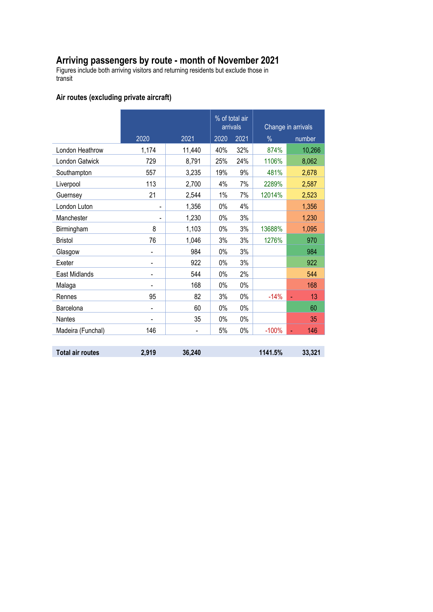## **Arriving passengers by route - month of November 2021**

Figures include both arriving visitors and returning residents but exclude those in transit

### **Air routes (excluding private aircraft)**

|                   |                          |        | % of total air<br>arrivals |       | Change in arrivals |           |  |
|-------------------|--------------------------|--------|----------------------------|-------|--------------------|-----------|--|
|                   | 2020                     | 2021   | 2020                       | 2021  | $\%$               | number    |  |
| London Heathrow   | 1,174                    | 11,440 | 40%                        | 32%   | 874%               | 10,266    |  |
| London Gatwick    | 729                      | 8,791  | 25%                        | 24%   | 1106%              | 8,062     |  |
| Southampton       | 557                      | 3,235  | 19%                        | 9%    | 481%               | 2,678     |  |
| Liverpool         | 113                      | 2,700  | 4%                         | 7%    | 2289%              | 2,587     |  |
| Guernsey          | 21                       | 2,544  | 1%                         | 7%    | 12014%             | 2,523     |  |
| London Luton      |                          | 1,356  | 0%                         | 4%    |                    | 1,356     |  |
| Manchester        |                          | 1,230  | 0%                         | 3%    |                    | 1,230     |  |
| Birmingham        | 8                        | 1,103  | 0%                         | 3%    | 13688%             | 1,095     |  |
| <b>Bristol</b>    | 76                       | 1,046  | 3%                         | 3%    | 1276%              | 970       |  |
| Glasgow           |                          | 984    | 0%                         | 3%    |                    | 984       |  |
| Exeter            |                          | 922    | $0\%$                      | 3%    |                    | 922       |  |
| East Midlands     | $\overline{\phantom{0}}$ | 544    | 0%                         | 2%    |                    | 544       |  |
| Malaga            |                          | 168    | 0%                         | 0%    |                    | 168       |  |
| Rennes            | 95                       | 82     | 3%                         | 0%    | $-14%$             | 13<br>ä,  |  |
| Barcelona         |                          | 60     | 0%                         | 0%    |                    | 60        |  |
| <b>Nantes</b>     |                          | 35     | 0%                         | $0\%$ |                    | 35        |  |
| Madeira (Funchal) | 146                      |        | 5%                         | 0%    | $-100%$            | 146<br>u, |  |
|                   |                          |        |                            |       |                    |           |  |

**Total air routes 2,919 36,240 1141.5% 33,321**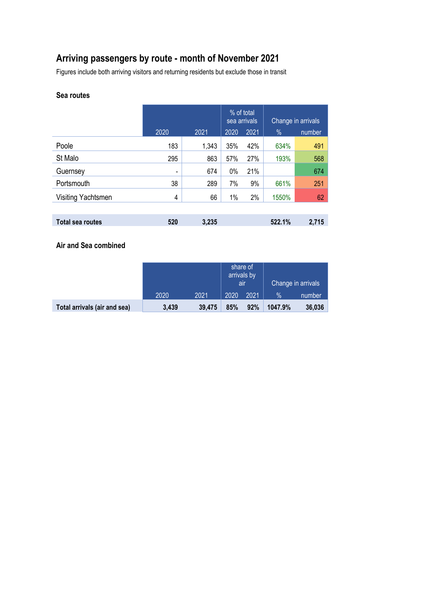# **Arriving passengers by route - month of November 2021**

Figures include both arriving visitors and returning residents but exclude those in transit

#### **Sea routes**

|                         |      | % of total<br>sea arrivals |       | Change in arrivals |        |        |
|-------------------------|------|----------------------------|-------|--------------------|--------|--------|
|                         | 2020 | 2021                       | 2020  | 2021               | %      | number |
| Poole                   | 183  | 1,343                      | 35%   | 42%                | 634%   | 491    |
| St Malo                 | 295  | 863                        | 57%   | 27%                | 193%   | 568    |
| Guernsey                |      | 674                        | $0\%$ | 21%                |        | 674    |
| Portsmouth              | 38   | 289                        | 7%    | 9%                 | 661%   | 251    |
| Visiting Yachtsmen      | 4    | 66                         | 1%    | 2%                 | 1550%  | 62     |
|                         |      |                            |       |                    |        |        |
| <b>Total sea routes</b> | 520  | 3,235                      |       |                    | 522.1% | 2,715  |

#### **Air and Sea combined**

|                              |       |        | share of<br>arrivals by<br><b>a</b> |      | Change in arrivals |        |
|------------------------------|-------|--------|-------------------------------------|------|--------------------|--------|
|                              | 2020  | 2021   | 2020                                | 2021 | $\%$               | number |
| Total arrivals (air and sea) | 3,439 | 39,475 | 85%                                 | 92%  | 1047.9%            | 36,036 |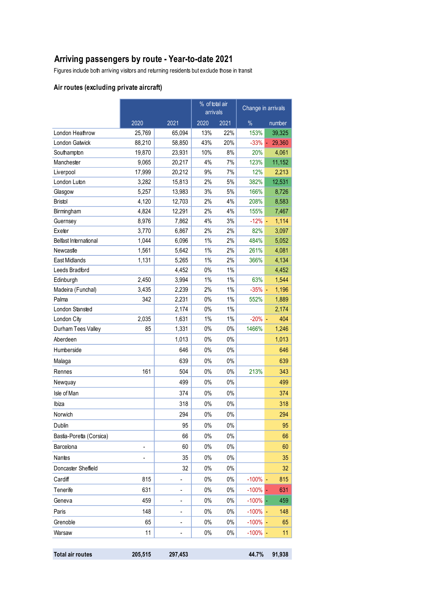# **Arriving passengers by route - Year-to-date 2021**

Figures include both arriving visitors and returning residents but exclude those in transit

### **Air routes (excluding private aircraft)**

|                          |         |         | % of total air<br>arrivals |       | Change in arrivals |                         |
|--------------------------|---------|---------|----------------------------|-------|--------------------|-------------------------|
|                          | 2020    | 2021    | 2020<br>2021               |       | $\%$               | number                  |
| London Heathrow          | 25,769  | 65,094  | 13%                        | 22%   | 153%               | 39,325                  |
| <b>London Gatwick</b>    | 88,210  | 58,850  | 43%                        | 20%   | $-33%$             | 29,360                  |
| Southampton              | 19,870  | 23,931  | 10%                        | 8%    | 20%                | 4,061                   |
| Manchester               | 9,065   | 20,217  | 4%                         | 7%    | 123%               | 11,152                  |
| Liverpool                | 17,999  | 20,212  | 9%                         | 7%    | 12%                | 2,213                   |
| London Luton             | 3,282   | 15,813  | 2%                         | 5%    | 382%               | 12,531                  |
| Glasgow                  | 5,257   | 13,983  | 3%                         | 5%    | 166%               | 8,726                   |
| <b>Bristol</b>           | 4,120   | 12,703  | 2%                         | 4%    | 208%               | 8,583                   |
| Birmingham               | 4,824   | 12,291  | 2%                         | 4%    | 155%               | 7,467                   |
| Guernsey                 | 8,976   | 7,862   | 4%                         | 3%    | $-12%$             | 1,114<br>$\blacksquare$ |
| Exeter                   | 3,770   | 6,867   | 2%                         | 2%    | 82%                | 3,097                   |
| Belfast International    | 1,044   | 6,096   | $1\%$                      | 2%    | 484%               | 5,052                   |
| Newcastle                | 1,561   | 5,642   | 1%                         | 2%    | 261%               | 4,081                   |
| <b>East Midlands</b>     | 1,131   | 5,265   | 1%                         | 2%    | 366%               | 4,134                   |
| Leeds Bradford           |         | 4,452   | 0%                         | 1%    |                    | 4,452                   |
| Edinburgh                | 2.450   | 3,994   | 1%                         | $1\%$ | 63%                | 1,544                   |
| Madeira (Funchal)        | 3,435   | 2,239   | 2%                         | $1\%$ | $-35%$ -           | 1,196                   |
| Palma                    | 342     | 2,231   | 0%                         | $1\%$ | 552%               | 1,889                   |
| London Stansted          |         | 2,174   | 0%                         | $1\%$ |                    | 2,174                   |
| London City              | 2,035   | 1,631   | 1%                         | 1%    | $-20\%$ -          | 404                     |
| Durham Tees Valley       | 85      | 1,331   | $0\%$                      | $0\%$ | 1466%              | 1,246                   |
| Aberdeen                 |         | 1,013   | 0%                         | $0\%$ |                    | 1,013                   |
| Humberside               |         | 646     | 0%                         | $0\%$ |                    | 646                     |
| Malaga                   |         | 639     | 0%                         | $0\%$ |                    | 639                     |
| Rennes                   | 161     | 504     | 0%                         | $0\%$ | 213%               | 343                     |
| Newquay                  |         | 499     | 0%                         | 0%    |                    | 499                     |
| Isle of Man              |         | 374     | $0\%$                      | 0%    |                    | 374                     |
| Ibiza                    |         | 318     | 0%                         | 0%    |                    | 318                     |
| Norwich                  |         | 294     | 0%                         | $0\%$ |                    | 294                     |
| Dublin                   |         | 95      | $0\%$                      | $0\%$ |                    | 95                      |
| Bastia-Poretta (Corsica) |         | 66      | $0\%$                      | $0\%$ |                    | 66                      |
| Barcelona                |         | 60      | $0\%$                      | $0\%$ |                    | 60                      |
| Nantes                   |         | 35      | $0\%$                      | $0\%$ |                    | 35                      |
| Doncaster Sheffield      |         | 32      | $0\%$                      | $0\%$ |                    | 32                      |
| Cardiff                  | 815     | -       | $0\%$                      | $0\%$ | $-100\%$           | 815                     |
| Tenerife                 | 631     |         | $0\%$                      | $0\%$ | $-100%$            | 631                     |
|                          | 459     |         | $0\%$                      | $0\%$ |                    |                         |
| Geneva                   |         | ۰       |                            |       | $-100%$            | 459                     |
| Paris                    | 148     |         | $0\%$                      | $0\%$ | $-100\%$ -         | 148                     |
| Grenoble                 | 65      | -       | $0\%$                      | $0\%$ | $-100\%$ -         | 65                      |
| Warsaw                   | 11      | -       | $0\%$                      | $0\%$ | $-100\%$ -         | 11                      |
|                          |         |         |                            |       |                    |                         |
| <b>Total air routes</b>  | 205,515 | 297,453 |                            |       | 44.7%              | 91,938                  |